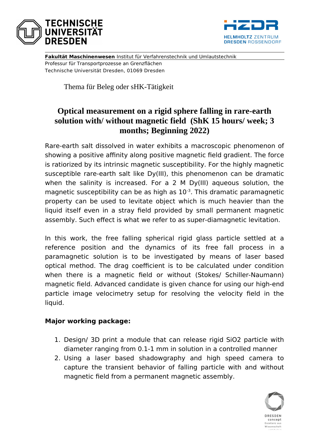



**Fakultät Maschinenwesen** Institut für Verfahrenstechnik und Umlautstechnik Professur für Transportprozesse an Grenzflächen Technische Universität Dresden, 01069 Dresden

Thema für Beleg oder sHK-Tätigkeit

# **Optical measurement on a rigid sphere falling in rare-earth solution with/ without magnetic field (ShK 15 hours/ week; 3 months; Beginning 2022)**

Rare-earth salt dissolved in water exhibits a macroscopic phenomenon of showing a positive affinity along positive magnetic field gradient. The force is ratiorized by its intrinsic magnetic susceptibility. For the highly magnetic susceptible rare-earth salt like Dy(III), this phenomenon can be dramatic when the salinity is increased. For a 2 M Dy(III) aqueous solution, the magnetic susceptibility can be as high as  $10^{-3}$ . This dramatic paramagnetic property can be used to levitate object which is much heavier than the liquid itself even in a stray field provided by small permanent magnetic assembly. Such effect is what we refer to as super-diamagnetic levitation.

In this work, the free falling spherical rigid glass particle settled at a reference position and the dynamics of its free fall process in a paramagnetic solution is to be investigated by means of laser based optical method. The drag coefficient is to be calculated under condition when there is a magnetic field or without (Stokes/ Schiller-Naumann) magnetic field. Advanced candidate is given chance for using our high-end particle image velocimetry setup for resolving the velocity field in the liquid.

#### **Major working package:**

- 1. Design/ 3D print a module that can release rigid SiO2 particle with diameter ranging from 0.1-1 mm in solution in a controlled manner
- 2. Using a laser based shadowgraphy and high speed camera to capture the transient behavior of falling particle with and without magnetic field from a permanent magnetic assembly.